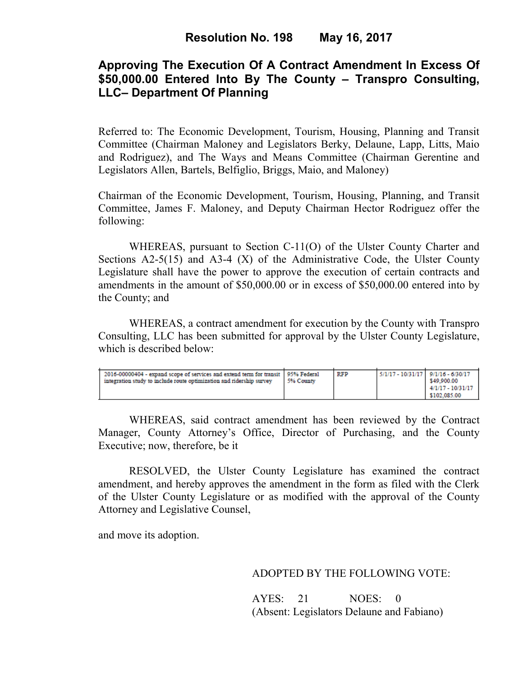# **Approving The Execution Of A Contract Amendment In Excess Of \$50,000.00 Entered Into By The County – Transpro Consulting, LLC– Department Of Planning**

Referred to: The Economic Development, Tourism, Housing, Planning and Transit Committee (Chairman Maloney and Legislators Berky, Delaune, Lapp, Litts, Maio and Rodriguez), and The Ways and Means Committee (Chairman Gerentine and Legislators Allen, Bartels, Belfiglio, Briggs, Maio, and Maloney)

Chairman of the Economic Development, Tourism, Housing, Planning, and Transit Committee, James F. Maloney, and Deputy Chairman Hector Rodriguez offer the following:

WHEREAS, pursuant to Section C-11(O) of the Ulster County Charter and Sections  $A2-5(15)$  and  $A3-4(X)$  of the Administrative Code, the Ulster County Legislature shall have the power to approve the execution of certain contracts and amendments in the amount of \$50,000.00 or in excess of \$50,000.00 entered into by the County; and

 WHEREAS, a contract amendment for execution by the County with Transpro Consulting, LLC has been submitted for approval by the Ulster County Legislature, which is described below:

| 2016-00000404 - expand scope of services and extend term for transit   95% Federal<br>integration study to include route optimization and ridership survey | 5% County | RFP | $5/1/17 - 10/31/17$ 9/1/16 - 6/30/17 | \$49,900.00<br>$4/1/17 - 10/31/17$<br>\$102,085.00 |
|------------------------------------------------------------------------------------------------------------------------------------------------------------|-----------|-----|--------------------------------------|----------------------------------------------------|
|------------------------------------------------------------------------------------------------------------------------------------------------------------|-----------|-----|--------------------------------------|----------------------------------------------------|

WHEREAS, said contract amendment has been reviewed by the Contract Manager, County Attorney's Office, Director of Purchasing, and the County Executive; now, therefore, be it

RESOLVED, the Ulster County Legislature has examined the contract amendment, and hereby approves the amendment in the form as filed with the Clerk of the Ulster County Legislature or as modified with the approval of the County Attorney and Legislative Counsel,

and move its adoption.

### ADOPTED BY THE FOLLOWING VOTE:

AYES: 21 NOES: 0 (Absent: Legislators Delaune and Fabiano)